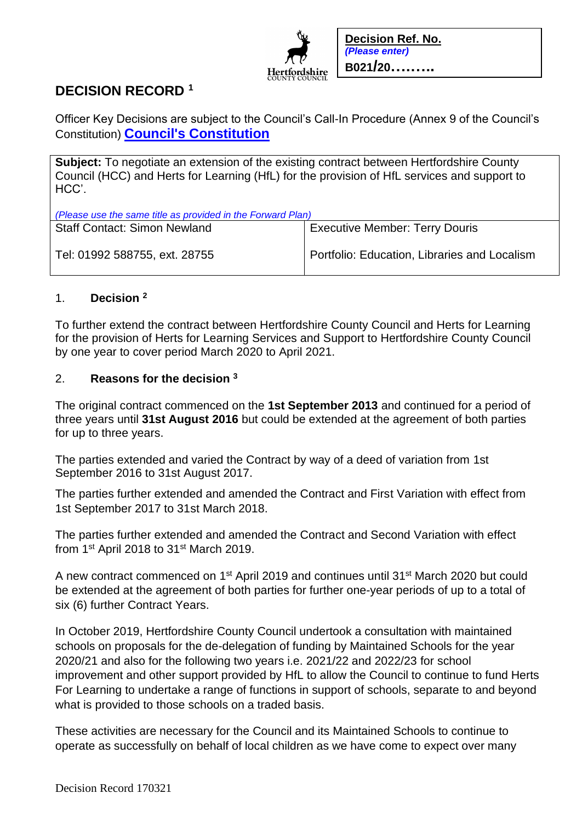

**Decision Ref. No.** *(Please enter)* **B021/20….…..**

# **DECISION RECORD <sup>1</sup>**

Officer Key Decisions are subject to the Council's Call-In Procedure (Annex 9 of the Council's Constitution) **[Council's Constitution](https://www.hertfordshire.gov.uk/about-the-council/freedom-of-information-and-council-data/open-data-statistics-about-hertfordshire/who-we-are-and-what-we-do/who-we-are-and-what-we-do.aspx)**

**Subject:** To negotiate an extension of the existing contract between Hertfordshire County Council (HCC) and Herts for Learning (HfL) for the provision of HfL services and support to HCC'.

| (Please use the same title as provided in the Forward Plan) |                                              |
|-------------------------------------------------------------|----------------------------------------------|
| <b>Staff Contact: Simon Newland</b>                         | <b>Executive Member: Terry Douris</b>        |
| Tel: 01992 588755, ext. 28755                               | Portfolio: Education, Libraries and Localism |

## 1. **Decision <sup>2</sup>**

To further extend the contract between Hertfordshire County Council and Herts for Learning for the provision of Herts for Learning Services and Support to Hertfordshire County Council by one year to cover period March 2020 to April 2021.

## 2. **Reasons for the decision <sup>3</sup>**

The original contract commenced on the **1st September 2013** and continued for a period of three years until **31st August 2016** but could be extended at the agreement of both parties for up to three years.

The parties extended and varied the Contract by way of a deed of variation from 1st September 2016 to 31st August 2017.

The parties further extended and amended the Contract and First Variation with effect from 1st September 2017 to 31st March 2018.

The parties further extended and amended the Contract and Second Variation with effect from 1<sup>st</sup> April 2018 to 31<sup>st</sup> March 2019.

A new contract commenced on 1<sup>st</sup> April 2019 and continues until 31<sup>st</sup> March 2020 but could be extended at the agreement of both parties for further one-year periods of up to a total of six (6) further Contract Years.

In October 2019, Hertfordshire County Council undertook a consultation with maintained schools on proposals for the de-delegation of funding by Maintained Schools for the year 2020/21 and also for the following two years i.e. 2021/22 and 2022/23 for school improvement and other support provided by HfL to allow the Council to continue to fund Herts For Learning to undertake a range of functions in support of schools, separate to and beyond what is provided to those schools on a traded basis.

These activities are necessary for the Council and its Maintained Schools to continue to operate as successfully on behalf of local children as we have come to expect over many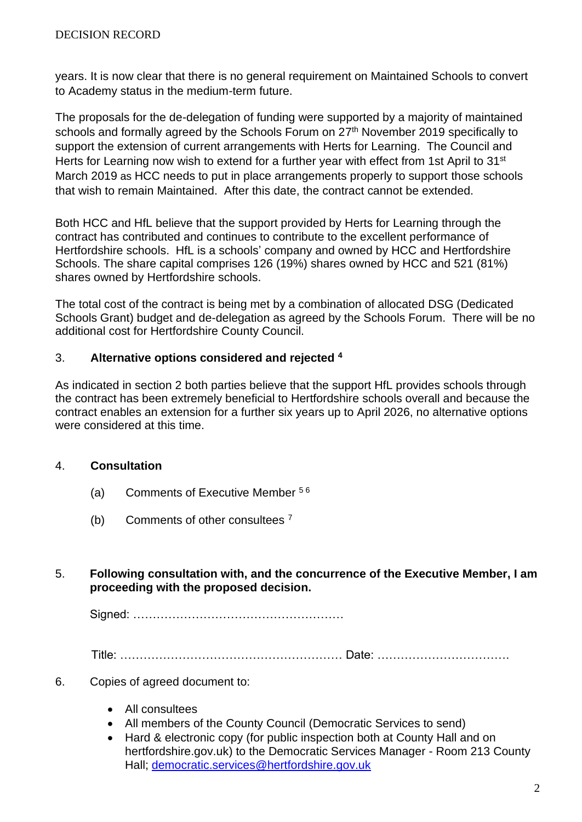years. It is now clear that there is no general requirement on Maintained Schools to convert to Academy status in the medium-term future.

The proposals for the de-delegation of funding were supported by a majority of maintained schools and formally agreed by the Schools Forum on 27<sup>th</sup> November 2019 specifically to support the extension of current arrangements with Herts for Learning. The Council and Herts for Learning now wish to extend for a further year with effect from 1st April to 31<sup>st</sup> March 2019 as HCC needs to put in place arrangements properly to support those schools that wish to remain Maintained. After this date, the contract cannot be extended.

Both HCC and HfL believe that the support provided by Herts for Learning through the contract has contributed and continues to contribute to the excellent performance of Hertfordshire schools. HfL is a schools' company and owned by HCC and Hertfordshire Schools. The share capital comprises 126 (19%) shares owned by HCC and 521 (81%) shares owned by Hertfordshire schools.

The total cost of the contract is being met by a combination of allocated DSG (Dedicated Schools Grant) budget and de-delegation as agreed by the Schools Forum. There will be no additional cost for Hertfordshire County Council.

#### 3. **Alternative options considered and rejected <sup>4</sup>**

As indicated in section 2 both parties believe that the support HfL provides schools through the contract has been extremely beneficial to Hertfordshire schools overall and because the contract enables an extension for a further six years up to April 2026, no alternative options were considered at this time.

## 4. **Consultation**

- (a) Comments of Executive Member 5 6
- (b) Comments of other consultees <sup>7</sup>

## 5. **Following consultation with, and the concurrence of the Executive Member, I am proceeding with the proposed decision.**

Signed: ………………………………………………

Title: ………………………………………………… Date: …………………………….

- 6. Copies of agreed document to:
	- All consultees
	- All members of the County Council (Democratic Services to send)
	- Hard & electronic copy (for public inspection both at County Hall and on hertfordshire.gov.uk) to the Democratic Services Manager - Room 213 County Hall; [democratic.services@hertfordshire.gov.uk](mailto:democratic.services@hertfordshire.gov.uk)